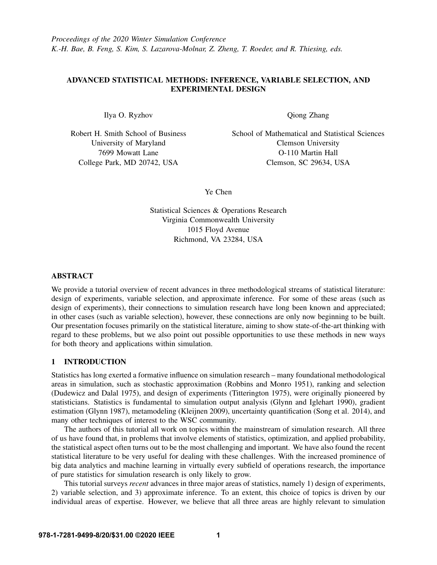# ADVANCED STATISTICAL METHODS: INFERENCE, VARIABLE SELECTION, AND EXPERIMENTAL DESIGN

Ilya O. Ryzhov

Robert H. Smith School of Business University of Maryland 7699 Mowatt Lane College Park, MD 20742, USA

Qiong Zhang

School of Mathematical and Statistical Sciences Clemson University O-110 Martin Hall Clemson, SC 29634, USA

Ye Chen

Statistical Sciences & Operations Research Virginia Commonwealth University 1015 Floyd Avenue Richmond, VA 23284, USA

# ABSTRACT

We provide a tutorial overview of recent advances in three methodological streams of statistical literature: design of experiments, variable selection, and approximate inference. For some of these areas (such as design of experiments), their connections to simulation research have long been known and appreciated; in other cases (such as variable selection), however, these connections are only now beginning to be built. Our presentation focuses primarily on the statistical literature, aiming to show state-of-the-art thinking with regard to these problems, but we also point out possible opportunities to use these methods in new ways for both theory and applications within simulation.

# 1 INTRODUCTION

Statistics has long exerted a formative influence on simulation research – many foundational methodological areas in simulation, such as stochastic approximation [\(Robbins and Monro 1951\)](#page-13-0), ranking and selection [\(Dudewicz and Dalal 1975\)](#page-12-0), and design of experiments [\(Titterington 1975\)](#page-14-0), were originally pioneered by statisticians. Statistics is fundamental to simulation output analysis [\(Glynn and Iglehart 1990\)](#page-12-1), gradient estimation [\(Glynn 1987\)](#page-12-2), metamodeling [\(Kleijnen 2009\)](#page-13-1), uncertainty quantification [\(Song et al. 2014\)](#page-14-1), and many other techniques of interest to the WSC community.

The authors of this tutorial all work on topics within the mainstream of simulation research. All three of us have found that, in problems that involve elements of statistics, optimization, and applied probability, the statistical aspect often turns out to be the most challenging and important. We have also found the recent statistical literature to be very useful for dealing with these challenges. With the increased prominence of big data analytics and machine learning in virtually every subfield of operations research, the importance of pure statistics for simulation research is only likely to grow.

This tutorial surveys *recent* advances in three major areas of statistics, namely 1) design of experiments, 2) variable selection, and 3) approximate inference. To an extent, this choice of topics is driven by our individual areas of expertise. However, we believe that all three areas are highly relevant to simulation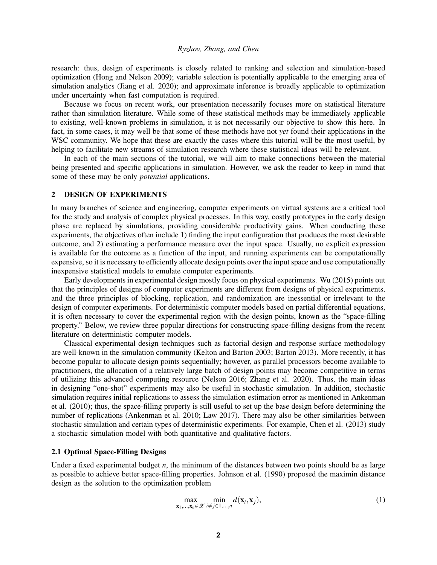research: thus, design of experiments is closely related to ranking and selection and simulation-based optimization [\(Hong and Nelson 2009\)](#page-12-3); variable selection is potentially applicable to the emerging area of simulation analytics [\(Jiang et al. 2020\)](#page-12-4); and approximate inference is broadly applicable to optimization under uncertainty when fast computation is required.

Because we focus on recent work, our presentation necessarily focuses more on statistical literature rather than simulation literature. While some of these statistical methods may be immediately applicable to existing, well-known problems in simulation, it is not necessarily our objective to show this here. In fact, in some cases, it may well be that some of these methods have not *yet* found their applications in the WSC community. We hope that these are exactly the cases where this tutorial will be the most useful, by helping to facilitate new streams of simulation research where these statistical ideas will be relevant.

In each of the main sections of the tutorial, we will aim to make connections between the material being presented and specific applications in simulation. However, we ask the reader to keep in mind that some of these may be only *potential* applications.

# 2 DESIGN OF EXPERIMENTS

In many branches of science and engineering, computer experiments on virtual systems are a critical tool for the study and analysis of complex physical processes. In this way, costly prototypes in the early design phase are replaced by simulations, providing considerable productivity gains. When conducting these experiments, the objectives often include 1) finding the input configuration that produces the most desirable outcome, and 2) estimating a performance measure over the input space. Usually, no explicit expression is available for the outcome as a function of the input, and running experiments can be computationally expensive, so it is necessary to efficiently allocate design points over the input space and use computationally inexpensive statistical models to emulate computer experiments.

Early developments in experimental design mostly focus on physical experiments. [Wu \(2015\)](#page-14-2) points out that the principles of designs of computer experiments are different from designs of physical experiments, and the three principles of blocking, replication, and randomization are inessential or irrelevant to the design of computer experiments. For deterministic computer models based on partial differential equations, it is often necessary to cover the experimental region with the design points, known as the "space-filling property." Below, we review three popular directions for constructing space-filling designs from the recent literature on deterministic computer models.

Classical experimental design techniques such as factorial design and response surface methodology are well-known in the simulation community [\(Kelton and Barton 2003;](#page-13-2) [Barton 2013\)](#page-11-0). More recently, it has become popular to allocate design points sequentially; however, as parallel processors become available to practitioners, the allocation of a relatively large batch of design points may become competitive in terms of utilizing this advanced computing resource [\(Nelson 2016;](#page-13-3) [Zhang et al. 2020\)](#page-14-3). Thus, the main ideas in designing "one-shot" experiments may also be useful in stochastic simulation. In addition, stochastic simulation requires initial replications to assess the simulation estimation error as mentioned in [Ankenman](#page-11-1) [et al. \(2010\);](#page-11-1) thus, the space-filling property is still useful to set up the base design before determining the number of replications [\(Ankenman et al. 2010;](#page-11-1) [Law 2017\)](#page-13-4). There may also be other similarities between stochastic simulation and certain types of deterministic experiments. For example, [Chen et al. \(2013\)](#page-12-5) study a stochastic simulation model with both quantitative and qualitative factors.

# 2.1 Optimal Space-Filling Designs

Under a fixed experimental budget *n*, the minimum of the distances between two points should be as large as possible to achieve better space-filling properties. [Johnson et al. \(1990\)](#page-12-6) proposed the maximin distance design as the solution to the optimization problem

<span id="page-1-0"></span>
$$
\max_{\mathbf{x}_1,\ldots,\mathbf{x}_n\in\mathcal{X}}\min_{i\neq j\in 1,\ldots,n}d(\mathbf{x}_i,\mathbf{x}_j),\tag{1}
$$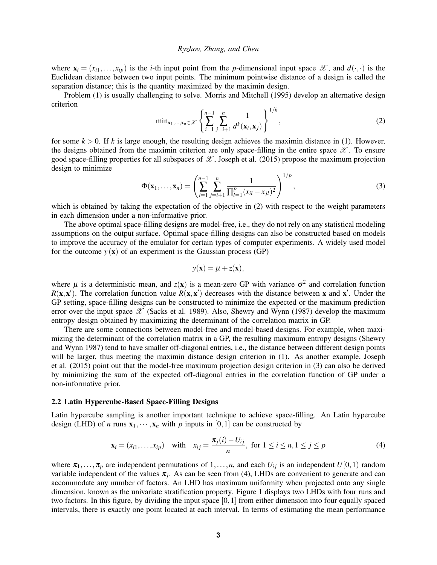where  $\mathbf{x}_i = (x_{i1}, \dots, x_{ip})$  is the *i*-th input point from the *p*-dimensional input space  $\mathcal{X}$ , and  $d(\cdot, \cdot)$  is the Euclidean distance between two input points. The minimum pointwise distance of a design is called the separation distance; this is the quantity maximized by the maximin design.

Problem [\(1\)](#page-1-0) is usually challenging to solve. [Morris and Mitchell \(1995\)](#page-13-5) develop an alternative design criterion

<span id="page-2-0"></span>
$$
\min_{\mathbf{x}_1,\ldots,\mathbf{x}_n\in\mathscr{X}}\left\{\sum_{i=1}^{n-1}\sum_{j=i+1}^n\frac{1}{d^k(\mathbf{x}_i,\mathbf{x}_j)}\right\}^{1/k},\tag{2}
$$

for some  $k > 0$ . If k is large enough, the resulting design achieves the maximin distance in [\(1\)](#page-1-0). However, the designs obtained from the maximin criterion are only space-filling in the entire space  $\mathscr X$ . To ensure good space-filling properties for all subspaces of  $\mathscr X$ , [Joseph et al. \(2015\)](#page-12-7) propose the maximum projection design to minimize

<span id="page-2-1"></span>
$$
\Phi(\mathbf{x}_1,\ldots,\mathbf{x}_n) = \left(\sum_{i=1}^{n-1} \sum_{j=i+1}^n \frac{1}{\prod_{l=1}^p (x_{il} - x_{jl})^2}\right)^{1/p},\tag{3}
$$

which is obtained by taking the expectation of the objective in [\(2\)](#page-2-0) with respect to the weight parameters in each dimension under a non-informative prior.

The above optimal space-filling designs are model-free, i.e., they do not rely on any statistical modeling assumptions on the output surface. Optimal space-filling designs can also be constructed based on models to improve the accuracy of the emulator for certain types of computer experiments. A widely used model for the outcome  $y(x)$  of an experiment is the Gaussian process (GP)

$$
y(\mathbf{x}) = \boldsymbol{\mu} + z(\mathbf{x}),
$$

where  $\mu$  is a deterministic mean, and  $z(\mathbf{x})$  is a mean-zero GP with variance  $\sigma^2$  and correlation function  $R(x, x')$ . The correlation function value  $R(x, x')$  decreases with the distance between x and x'. Under the GP setting, space-filling designs can be constructed to minimize the expected or the maximum prediction error over the input space  $\mathscr X$  [\(Sacks et al. 1989\)](#page-13-6). Also, [Shewry and Wynn \(1987\)](#page-13-7) develop the maximum entropy design obtained by maximizing the determinant of the correlation matrix in GP.

There are some connections between model-free and model-based designs. For example, when maximizing the determinant of the correlation matrix in a GP, the resulting maximum entropy designs [\(Shewry](#page-13-7) [and Wynn 1987\)](#page-13-7) tend to have smaller off-diagonal entries, i.e., the distance between different design points will be larger, thus meeting the maximin distance design criterion in  $(1)$ . As another example, [Joseph](#page-12-7) [et al. \(2015\)](#page-12-7) point out that the model-free maximum projection design criterion in [\(3\)](#page-2-1) can also be derived by minimizing the sum of the expected off-diagonal entries in the correlation function of GP under a non-informative prior.

#### 2.2 Latin Hypercube-Based Space-Filling Designs

Latin hypercube sampling is another important technique to achieve space-filling. An Latin hypercube design (LHD) of *n* runs  $\mathbf{x}_1, \dots, \mathbf{x}_n$  with *p* inputs in [0,1] can be constructed by

<span id="page-2-2"></span>
$$
\mathbf{x}_{i} = (x_{i1},...,x_{ip}) \text{ with } x_{ij} = \frac{\pi_{j}(i) - U_{ij}}{n}, \text{ for } 1 \le i \le n, 1 \le j \le p
$$
 (4)

where  $\pi_1, \ldots, \pi_p$  are independent permutations of  $1, \ldots, n$ , and each  $U_{ij}$  is an independent  $U[0, 1)$  random variable independent of the values  $\pi_j$ . As can be seen from [\(4\)](#page-2-2), LHDs are convenient to generate and can accommodate any number of factors. An LHD has maximum uniformity when projected onto any single dimension, known as the univariate stratification property. Figure [1](#page-3-0) displays two LHDs with four runs and two factors. In this figure, by dividing the input space [0,1] from either dimension into four equally spaced intervals, there is exactly one point located at each interval. In terms of estimating the mean performance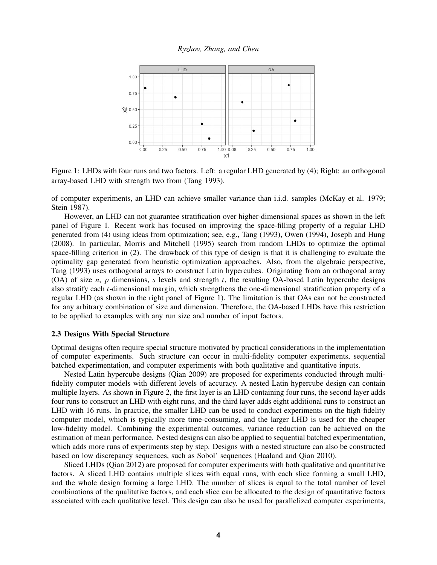

<span id="page-3-0"></span>Figure 1: LHDs with four runs and two factors. Left: a regular LHD generated by [\(4\)](#page-2-2); Right: an orthogonal array-based LHD with strength two from [\(Tang 1993\)](#page-14-4).

of computer experiments, an LHD can achieve smaller variance than i.i.d. samples [\(McKay et al. 1979;](#page-13-8) [Stein 1987\)](#page-14-5).

However, an LHD can not guarantee stratification over higher-dimensional spaces as shown in the left panel of Figure [1.](#page-3-0) Recent work has focused on improving the space-filling property of a regular LHD generated from [\(4\)](#page-2-2) using ideas from optimization; see, e.g., [Tang \(1993\),](#page-14-4) [Owen \(1994\),](#page-13-9) [Joseph and Hung](#page-12-8) [\(2008\).](#page-12-8) In particular, [Morris and Mitchell \(1995\)](#page-13-5) search from random LHDs to optimize the optimal space-filling criterion in [\(2\)](#page-2-0). The drawback of this type of design is that it is challenging to evaluate the optimality gap generated from heuristic optimization approaches. Also, from the algebraic perspective, [Tang \(1993\)](#page-14-4) uses orthogonal arrays to construct Latin hypercubes. Originating from an orthogonal array (OA) of size *n*, *p* dimensions, *s* levels and strength *t*, the resulting OA-based Latin hypercube designs also stratify each *t*-dimensional margin, which strengthens the one-dimensional stratification property of a regular LHD (as shown in the right panel of Figure [1\)](#page-3-0). The limitation is that OAs can not be constructed for any arbitrary combination of size and dimension. Therefore, the OA-based LHDs have this restriction to be applied to examples with any run size and number of input factors.

# 2.3 Designs With Special Structure

Optimal designs often require special structure motivated by practical considerations in the implementation of computer experiments. Such structure can occur in multi-fidelity computer experiments, sequential batched experimentation, and computer experiments with both qualitative and quantitative inputs.

Nested Latin hypercube designs [\(Qian 2009\)](#page-13-10) are proposed for experiments conducted through multifidelity computer models with different levels of accuracy. A nested Latin hypercube design can contain multiple layers. As shown in Figure [2,](#page-4-0) the first layer is an LHD containing four runs, the second layer adds four runs to construct an LHD with eight runs, and the third layer adds eight additional runs to construct an LHD with 16 runs. In practice, the smaller LHD can be used to conduct experiments on the high-fidelity computer model, which is typically more time-consuming, and the larger LHD is used for the cheaper low-fidelity model. Combining the experimental outcomes, variance reduction can be achieved on the estimation of mean performance. Nested designs can also be applied to sequential batched experimentation, which adds more runs of experiments step by step. Designs with a nested structure can also be constructed based on low discrepancy sequences, such as Sobol' sequences [\(Haaland and Qian 2010\)](#page-12-9).

Sliced LHDs [\(Qian 2012\)](#page-13-11) are proposed for computer experiments with both qualitative and quantitative factors. A sliced LHD contains multiple slices with equal runs, with each slice forming a small LHD, and the whole design forming a large LHD. The number of slices is equal to the total number of level combinations of the qualitative factors, and each slice can be allocated to the design of quantitative factors associated with each qualitative level. This design can also be used for parallelized computer experiments,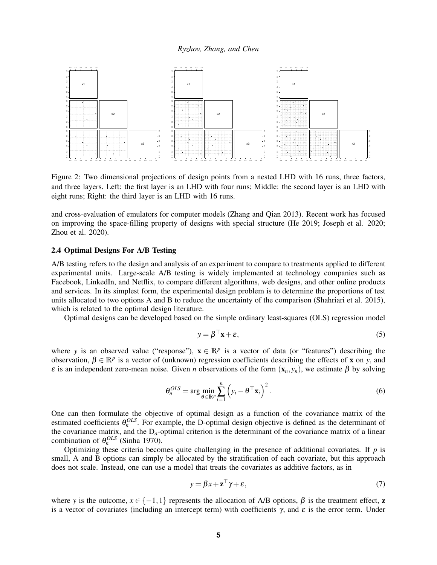

<span id="page-4-0"></span>Figure 2: Two dimensional projections of design points from a nested LHD with 16 runs, three factors, and three layers. Left: the first layer is an LHD with four runs; Middle: the second layer is an LHD with eight runs; Right: the third layer is an LHD with 16 runs.

and cross-evaluation of emulators for computer models [\(Zhang and Qian 2013\)](#page-14-6). Recent work has focused on improving the space-filling property of designs with special structure [\(He 2019;](#page-12-10) [Joseph et al. 2020;](#page-12-11) [Zhou et al. 2020\)](#page-14-7).

# <span id="page-4-3"></span>2.4 Optimal Designs For A/B Testing

A/B testing refers to the design and analysis of an experiment to compare to treatments applied to different experimental units. Large-scale A/B testing is widely implemented at technology companies such as Facebook, LinkedIn, and Netflix, to compare different algorithms, web designs, and other online products and services. In its simplest form, the experimental design problem is to determine the proportions of test units allocated to two options A and B to reduce the uncertainty of the comparison [\(Shahriari et al. 2015\)](#page-13-12), which is related to the optimal design literature.

Optimal designs can be developed based on the simple ordinary least-squares (OLS) regression model

<span id="page-4-1"></span>
$$
y = \beta^{\top} \mathbf{x} + \varepsilon,\tag{5}
$$

where *y* is an observed value ("response"),  $\mathbf{x} \in \mathbb{R}^p$  is a vector of data (or "features") describing the observation,  $\beta \in \mathbb{R}^p$  is a vector of (unknown) regression coefficients describing the effects of **x** on *y*, and ε is an independent zero-mean noise. Given *n* observations of the form (x*n*, *yn*), we estimate β by solving

<span id="page-4-2"></span>
$$
\theta_n^{OLS} = \arg\min_{\theta \in \mathbb{R}^p} \sum_{i=1}^n \left( y_i - \theta^\top \mathbf{x}_i \right)^2.
$$
 (6)

One can then formulate the objective of optimal design as a function of the covariance matrix of the estimated coefficients  $\theta_n^{OLS}$ . For example, the D-optimal design objective is defined as the determinant of the covariance matrix, and the  $D_a$ -optimal criterion is the determinant of the covariance matrix of a linear combination of  $\theta_n^{OLS}$  [\(Sinha 1970\)](#page-14-8).

Optimizing these criteria becomes quite challenging in the presence of additional covariates. If *p* is small, A and B options can simply be allocated by the stratification of each covariate, but this approach does not scale. Instead, one can use a model that treats the covariates as additive factors, as in

$$
y = \beta x + \mathbf{z}^\top \gamma + \varepsilon,\tag{7}
$$

where *y* is the outcome,  $x \in \{-1,1\}$  represents the allocation of A/B options,  $\beta$  is the treatment effect, **z** is a vector of covariates (including an intercept term) with coefficients  $\gamma$ , and  $\varepsilon$  is the error term. Under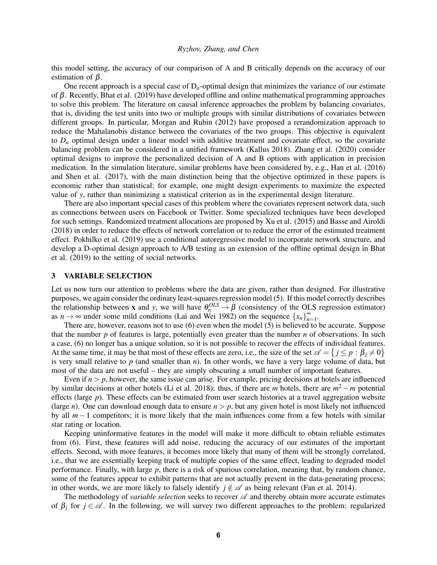this model setting, the accuracy of our comparison of A and B critically depends on the accuracy of our estimation of  $\beta$ .

One recent approach is a special case of  $D_a$ -optimal design that minimizes the variance of our estimate of β. Recently, [Bhat et al. \(2019\)](#page-11-2) have developed offline and online mathematical programming approaches to solve this problem. The literature on causal inference approaches the problem by balancing covariates, that is, dividing the test units into two or multiple groups with similar distributions of covariates between different groups. In particular, [Morgan and Rubin \(2012\)](#page-13-13) have proposed a rerandomization approach to reduce the Mahalanobis distance between the covariates of the two groups. This objective is equivalent to  $D_a$  optimal design under a linear model with additive treatment and covariate effect, so the covariate balancing problem can be considered in a unified framework [\(Kallus 2018\)](#page-12-12). [Zhang et al. \(2020\)](#page-14-9) consider optimal designs to improve the personalized decision of A and B options with application in precision medication. In the simulation literature, similar problems have been considered by, e.g., [Han et al. \(2016\)](#page-12-13) and [Shen et al. \(2017\),](#page-13-14) with the main distinction being that the objective optimized in these papers is economic rather than statistical; for example, one might design experiments to maximize the expected value of *y*, rather than minimizing a statistical criterion as in the experimental design literature.

There are also important special cases of this problem where the covariates represent network data, such as connections between users on Facebook or Twitter. Some specialized techniques have been developed for such settings. Randomized treatment allocations are proposed by [Xu et al. \(2015\)](#page-14-10) and [Basse and Airoldi](#page-11-3) [\(2018\)](#page-11-3) in order to reduce the effects of network correlation or to reduce the error of the estimated treatment effect. [Pokhilko et al. \(2019\)](#page-13-15) use a conditional autoregressive model to incorporate network structure, and develop a D-optimal design approach to A/B testing as an extension of the offline optimal design in [Bhat](#page-11-2) [et al. \(2019\)](#page-11-2) to the setting of social networks.

# 3 VARIABLE SELECTION

Let us now turn our attention to problems where the data are given, rather than designed. For illustrative purposes, we again consider the ordinary least-squares regression model [\(5\)](#page-4-1). If this model correctly describes the relationship between **x** and *y*, we will have  $\theta_n^{OLS} \to \beta$  (consistency of the OLS regression estimator) as  $n \to \infty$  under some mild conditions [\(Lai and Wei 1982\)](#page-13-16) on the sequence  $\{x_n\}_{n=1}^{\infty}$ .

There are, however, reasons not to use [\(6\)](#page-4-2) even when the model [\(5\)](#page-4-1) is believed to be accurate. Suppose that the number *p* of features is large, potentially even greater than the number *n* of observations. In such a case, [\(6\)](#page-4-2) no longer has a unique solution, so it is not possible to recover the effects of individual features. At the same time, it may be that most of these effects are zero, i.e., the size of the set  $\mathscr{A} = \{j \leq p : \beta_j \neq 0\}$ is very small relative to *p* (and smaller than *n*). In other words, we have a very large volume of data, but most of the data are not useful – they are simply obscuring a small number of important features.

Even if  $n > p$ , however, the same issue can arise. For example, pricing decisions at hotels are influenced by similar decisions at other hotels [\(Li et al. 2018\)](#page-13-17): thus, if there are  $m$  hotels, there are  $m^2 - m$  potential effects (large *p*). These effects can be estimated from user search histories at a travel aggregation website (large *n*). One can download enough data to ensure  $n > p$ , but any given hotel is most likely not influenced by all *m*−1 competitors; it is more likely that the main influences come from a few hotels with similar star rating or location.

Keeping uninformative features in the model will make it more difficult to obtain reliable estimates from [\(6\)](#page-4-2). First, these features will add noise, reducing the accuracy of our estimates of the important effects. Second, with more features, it becomes more likely that many of them will be strongly correlated, i.e., that we are essentially keeping track of multiple copies of the same effect, leading to degraded model performance. Finally, with large *p*, there is a risk of spurious correlation, meaning that, by random chance, some of the features appear to exhibit patterns that are not actually present in the data-generating process; in other words, we are more likely to falsely identify  $j \notin \mathcal{A}$  as being relevant [\(Fan et al. 2014\)](#page-12-14).

The methodology of *variable selection* seeks to recover  $\mathscr A$  and thereby obtain more accurate estimates of  $\beta_j$  for  $j \in \mathcal{A}$ . In the following, we will survey two different approaches to the problem: regularized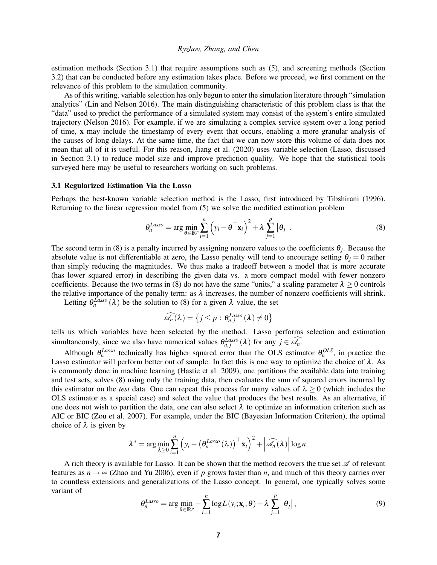estimation methods (Section [3.1\)](#page-6-0) that require assumptions such as [\(5\)](#page-4-1), and screening methods (Section [3.2\)](#page-7-0) that can be conducted before any estimation takes place. Before we proceed, we first comment on the relevance of this problem to the simulation community.

As of this writing, variable selection has only begun to enter the simulation literature through "simulation analytics" [\(Lin and Nelson 2016\)](#page-13-18). The main distinguishing characteristic of this problem class is that the "data" used to predict the performance of a simulated system may consist of the system's entire simulated trajectory [\(Nelson 2016\)](#page-13-3). For example, if we are simulating a complex service system over a long period of time, x may include the timestamp of every event that occurs, enabling a more granular analysis of the causes of long delays. At the same time, the fact that we can now store this volume of data does not mean that all of it is useful. For this reason, [Jiang et al. \(2020\)](#page-12-4) uses variable selection (Lasso, discussed in Section [3.1\)](#page-6-0) to reduce model size and improve prediction quality. We hope that the statistical tools surveyed here may be useful to researchers working on such problems.

### <span id="page-6-0"></span>3.1 Regularized Estimation Via the Lasso

Perhaps the best-known variable selection method is the Lasso, first introduced by [Tibshirani \(1996\).](#page-14-11) Returning to the linear regression model from [\(5\)](#page-4-1) we solve the modified estimation problem

<span id="page-6-1"></span>
$$
\theta_n^{Lasso} = \arg \min_{\theta \in \mathbb{R}^p} \sum_{i=1}^n \left( y_i - \theta^\top \mathbf{x}_i \right)^2 + \lambda \sum_{j=1}^p |\theta_j| \,. \tag{8}
$$

The second term in [\(8\)](#page-6-1) is a penalty incurred by assigning nonzero values to the coefficients  $\theta_j$ . Because the absolute value is not differentiable at zero, the Lasso penalty will tend to encourage setting  $\theta_i = 0$  rather than simply reducing the magnitudes. We thus make a tradeoff between a model that is more accurate (has lower squared error) in describing the given data vs. a more compact model with fewer nonzero coefficients. Because the two terms in [\(8\)](#page-6-1) do not have the same "units," a scaling parameter  $\lambda > 0$  controls the relative importance of the penalty term: as  $\lambda$  increases, the number of nonzero coefficients will shrink.

Letting  $\theta_n^{\text{Lasso}}(\lambda)$  be the solution to [\(8\)](#page-6-1) for a given  $\lambda$  value, the set

$$
\widehat{\mathscr{A}_n}(\lambda) = \left\{ j \leq p : \theta_{n,j}^{\text{Lasso}}(\lambda) \neq 0 \right\}
$$

tells us which variables have been selected by the method. Lasso performs selection and estimation simultaneously, since we also have numerical values  $\theta_{n,j}^{Lasso}(\lambda)$  for any  $j \in \mathcal{A}_n$ .

Although  $\theta_n^{Lasso}$  technically has higher squared error than the OLS estimator  $\theta_n^{OLS}$ , in practice the Lasso estimator will perform better out of sample. In fact this is one way to optimize the choice of  $\lambda$ . As is commonly done in machine learning [\(Hastie et al. 2009\)](#page-12-15), one partitions the available data into training and test sets, solves [\(8\)](#page-6-1) using only the training data, then evaluates the sum of squared errors incurred by this estimator on the *test* data. One can repeat this process for many values of  $\lambda \ge 0$  (which includes the OLS estimator as a special case) and select the value that produces the best results. As an alternative, if one does not wish to partition the data, one can also select  $\lambda$  to optimize an information criterion such as AIC or BIC [\(Zou et al. 2007\)](#page-14-12). For example, under the BIC (Bayesian Information Criterion), the optimal choice of  $\lambda$  is given by

$$
\lambda^* = \arg\min_{\lambda \geq 0} \sum_{i=1}^n \left( y_i - \left( \theta_n^{Lasso} (\lambda) \right)^{\top} \mathbf{x}_i \right)^2 + \left| \widehat{\mathscr{A}_n} (\lambda) \right| \log n.
$$

A rich theory is available for Lasso. It can be shown that the method recovers the true set  $\mathscr A$  of relevant features as  $n \to \infty$  [\(Zhao and Yu 2006\)](#page-14-13), even if p grows faster than n, and much of this theory carries over to countless extensions and generalizations of the Lasso concept. In general, one typically solves some variant of

<span id="page-6-2"></span>
$$
\theta_n^{Lasso} = \arg \min_{\theta \in \mathbb{R}^p} - \sum_{i=1}^n \log L(y_i; \mathbf{x}_i, \theta) + \lambda \sum_{j=1}^p |\theta_j|,
$$
\n(9)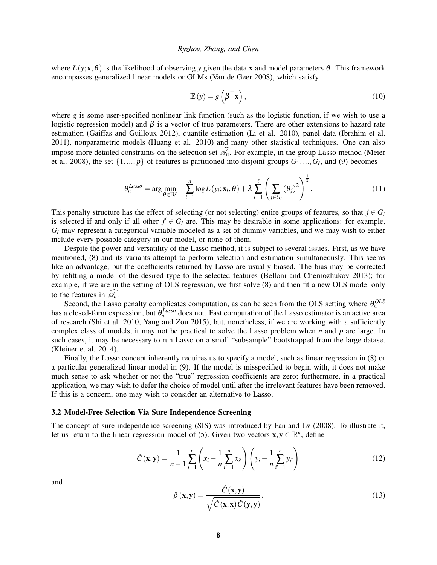where  $L(y; x, \theta)$  is the likelihood of observing *y* given the data x and model parameters  $\theta$ . This framework encompasses generalized linear models or GLMs [\(Van de Geer 2008\)](#page-14-14), which satisfy

<span id="page-7-1"></span>
$$
\mathbb{E}\left(y\right) = g\left(\beta^{\top}\mathbf{x}\right),\tag{10}
$$

where  $g$  is some user-specified nonlinear link function (such as the logistic function, if we wish to use a logistic regression model) and  $\beta$  is a vector of true parameters. There are other extensions to hazard rate estimation [\(Gaiffas and Guilloux 2012\)](#page-12-16), quantile estimation [\(Li et al. 2010\)](#page-13-19), panel data [\(Ibrahim et al.](#page-12-17) [2011\)](#page-12-17), nonparametric models [\(Huang et al. 2010\)](#page-12-18) and many other statistical techniques. One can also impose more detailed constraints on the selection set  $\mathscr{A}_n$ . For example, in the group Lasso method [\(Meier](#page-13-20) [et al. 2008\)](#page-13-20), the set  $\{1, ..., p\}$  of features is partitioned into disjoint groups  $G_1, ..., G_\ell$ , and [\(9\)](#page-6-2) becomes

$$
\theta_n^{Lasso} = \arg \min_{\theta \in \mathbb{R}^p} - \sum_{i=1}^n \log L(y_i; \mathbf{x}_i, \theta) + \lambda \sum_{l=1}^{\ell} \left( \sum_{j \in G_l} (\theta_j)^2 \right)^{\frac{1}{2}}.
$$
 (11)

This penalty structure has the effect of selecting (or not selecting) entire groups of features, so that  $j \in G_l$ is selected if and only if all other  $j' \in G_l$  are. This may be desirable in some applications: for example, *G<sup>l</sup>* may represent a categorical variable modeled as a set of dummy variables, and we may wish to either include every possible category in our model, or none of them.

Despite the power and versatility of the Lasso method, it is subject to several issues. First, as we have mentioned, [\(8\)](#page-6-1) and its variants attempt to perform selection and estimation simultaneously. This seems like an advantage, but the coefficients returned by Lasso are usually biased. The bias may be corrected by refitting a model of the desired type to the selected features [\(Belloni and Chernozhukov 2013\)](#page-11-4); for example, if we are in the setting of OLS regression, we first solve [\(8\)](#page-6-1) and then fit a new OLS model only to the features in  $\widehat{\mathscr{A}_n}$ .

Second, the Lasso penalty complicates computation, as can be seen from the OLS setting where  $\theta_n^{OLS}$ basis a closed-form expression, but  $\theta_n^{Lasso}$  does not. Fast computation of the Lasso estimator is an active area of research [\(Shi et al. 2010,](#page-14-15) [Yang and Zou 2015\)](#page-14-16), but, nonetheless, if we are working with a sufficiently complex class of models, it may not be practical to solve the Lasso problem when *n* and *p* are large. In such cases, it may be necessary to run Lasso on a small "subsample" bootstrapped from the large dataset [\(Kleiner et al. 2014\)](#page-13-21).

Finally, the Lasso concept inherently requires us to specify a model, such as linear regression in [\(8\)](#page-6-1) or a particular generalized linear model in [\(9\)](#page-6-2). If the model is misspecified to begin with, it does not make much sense to ask whether or not the "true" regression coefficients are zero; furthermore, in a practical application, we may wish to defer the choice of model until after the irrelevant features have been removed. If this is a concern, one may wish to consider an alternative to Lasso.

# <span id="page-7-0"></span>3.2 Model-Free Selection Via Sure Independence Screening

The concept of sure independence screening (SIS) was introduced by [Fan and Lv \(2008\).](#page-12-19) To illustrate it, let us return to the linear regression model of [\(5\)](#page-4-1). Given two vectors  $\mathbf{x}, \mathbf{y} \in \mathbb{R}^n$ , define

<span id="page-7-2"></span>
$$
\hat{C}(\mathbf{x}, \mathbf{y}) = \frac{1}{n-1} \sum_{i=1}^{n} \left( x_i - \frac{1}{n} \sum_{i'=1}^{n} x_{i'} \right) \left( y_i - \frac{1}{n} \sum_{i'=1}^{n} y_{i'} \right)
$$
(12)

and

<span id="page-7-3"></span>
$$
\hat{\rho}(\mathbf{x}, \mathbf{y}) = \frac{\hat{C}(\mathbf{x}, \mathbf{y})}{\sqrt{\hat{C}(\mathbf{x}, \mathbf{x}) \hat{C}(\mathbf{y}, \mathbf{y})}}.
$$
\n(13)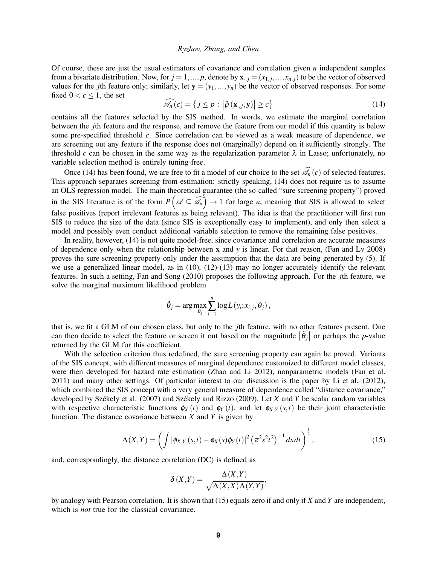Of course, these are just the usual estimators of covariance and correlation given *n* independent samples from a bivariate distribution. Now, for  $j = 1, ..., p$ , denote by  $\mathbf{x}_{\cdot,j} = (x_{1,j}, ..., x_{n,j})$  to be the vector of observed values for the *j*th feature only; similarly, let  $y = (y_1, ..., y_n)$  be the vector of observed responses. For some fixed  $0 < c \leq 1$ , the set

<span id="page-8-0"></span>
$$
\widehat{\mathscr{A}_n}(c) = \left\{ j \le p : \left| \widehat{\rho} \left( \mathbf{x}_{\cdot,j}, \mathbf{y} \right) \right| \ge c \right\} \tag{14}
$$

contains all the features selected by the SIS method. In words, we estimate the marginal correlation between the *j*th feature and the response, and remove the feature from our model if this quantity is below some pre-specified threshold *c*. Since correlation can be viewed as a weak measure of dependence, we are screening out any feature if the response does not (marginally) depend on it sufficiently strongly. The threshold *c* can be chosen in the same way as the regularization parameter  $\lambda$  in Lasso; unfortunately, no variable selection method is entirely tuning-free.

Once [\(14\)](#page-8-0) has been found, we are free to fit a model of our choice to the set  $\widehat{\mathscr{A}_n}(c)$  of selected features. This approach separates screening from estimation: strictly speaking, [\(14\)](#page-8-0) does not require us to assume an OLS regression model. The main theoretical guarantee (the so-called "sure screening property") proved in the SIS literature is of the form  $P(\mathscr{A} \subseteq \widehat{\mathscr{A}_n}) \to 1$  for large *n*, meaning that SIS is allowed to select false positives (report irrelevant features as being relevant). The idea is that the practitioner will first run SIS to reduce the size of the data (since SIS is exceptionally easy to implement), and only then select a model and possibly even conduct additional variable selection to remove the remaining false positives.

In reality, however, [\(14\)](#page-8-0) is not quite model-free, since covariance and correlation are accurate measures of dependence only when the relationship between x and *y* is linear. For that reason, [\(Fan and Lv 2008\)](#page-12-19) proves the sure screening property only under the assumption that the data are being generated by [\(5\)](#page-4-1). If we use a generalized linear model, as in [\(10\)](#page-7-1), [\(12\)](#page-7-2)-[\(13\)](#page-7-3) may no longer accurately identify the relevant features. In such a setting, [Fan and Song \(2010\)](#page-12-20) proposes the following approach. For the *j*th feature, we solve the marginal maximum likelihood problem

$$
\tilde{\theta}_j = \arg \max_{\theta_j} \sum_{i=1}^n \log L(y_i; x_{i,j}, \theta_j),
$$

that is, we fit a GLM of our chosen class, but only to the *j*th feature, with no other features present. One can then decide to select the feature or screen it out based on the magnitude  $|\tilde{\theta}_j|$  or perhaps the *p*-value returned by the GLM for this coefficient.

With the selection criterion thus redefined, the sure screening property can again be proved. Variants of the SIS concept, with different measures of marginal dependence customized to different model classes, were then developed for hazard rate estimation [\(Zhao and Li 2012\)](#page-14-17), nonparametric models [\(Fan et al.](#page-12-21) [2011\)](#page-12-21) and many other settings. Of particular interest to our discussion is the paper by [Li et al. \(2012\),](#page-13-22) which combined the SIS concept with a very general measure of dependence called "distance covariance," developed by Székely et al. (2007) and Székely and Rizzo (2009). Let *X* and *Y* be scalar random variables with respective characteristic functions  $\phi_X(t)$  and  $\phi_Y(t)$ , and let  $\phi_{X,Y}(s,t)$  be their joint characteristic function. The distance covariance between  $X$  and  $Y$  is given by

<span id="page-8-1"></span>
$$
\Delta(X,Y) = \left( \int |\phi_{X,Y}(s,t) - \phi_X(s)\phi_Y(t)|^2 \left( \pi^2 s^2 t^2 \right)^{-1} ds dt \right)^{\frac{1}{2}},
$$
\n(15)

and, correspondingly, the distance correlation (DC) is defined as

$$
\delta(X,Y) = \frac{\Delta(X,Y)}{\sqrt{\Delta(X,X)\Delta(Y,Y)}},
$$

by analogy with Pearson correlation. It is shown that [\(15\)](#page-8-1) equals zero if and only if *X* and *Y* are independent, which is *not* true for the classical covariance.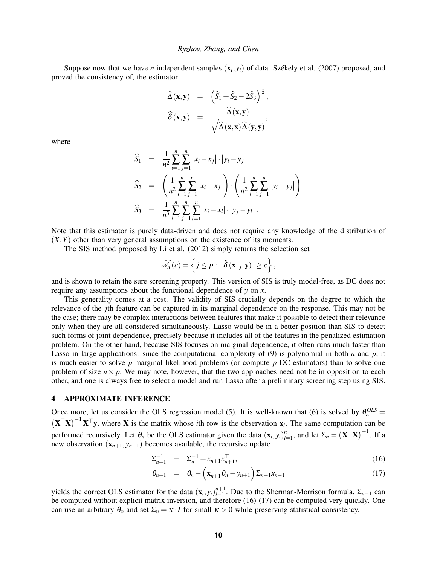Suppose now that we have *n* independent samples  $(\mathbf{x}_i, y_i)$  of data. Székely et al. (2007) proposed, and proved the consistency of, the estimator

$$
\widehat{\Delta}(\mathbf{x}, \mathbf{y}) = (\widehat{S}_1 + \widehat{S}_2 - 2\widehat{S}_3)^{\frac{1}{2}}, \n\widehat{\delta}(\mathbf{x}, \mathbf{y}) = \frac{\widehat{\Delta}(\mathbf{x}, \mathbf{y})}{\sqrt{\widehat{\Delta}(\mathbf{x}, \mathbf{x})\widehat{\Delta}(\mathbf{y}, \mathbf{y})}},
$$

where

$$
\widehat{S}_1 = \frac{1}{n^2} \sum_{i=1}^n \sum_{j=1}^n |x_i - x_j| \cdot |y_i - y_j|
$$
  
\n
$$
\widehat{S}_2 = \left( \frac{1}{n^2} \sum_{i=1}^n \sum_{j=1}^n |x_i - x_j| \right) \cdot \left( \frac{1}{n^2} \sum_{i=1}^n \sum_{j=1}^n |y_i - y_j| \right)
$$
  
\n
$$
\widehat{S}_3 = \frac{1}{n^3} \sum_{i=1}^n \sum_{j=1}^n \sum_{l=1}^n |x_i - x_l| \cdot |y_j - y_l|.
$$

Note that this estimator is purely data-driven and does not require any knowledge of the distribution of  $(X, Y)$  other than very general assumptions on the existence of its moments.

The SIS method proposed by [Li et al. \(2012\)](#page-13-22) simply returns the selection set

$$
\widehat{\mathscr{A}_n}(c) = \left\{ j \leq p : \left| \hat{\delta}(\mathbf{x}_{\cdot,j}, \mathbf{y}) \right| \geq c \right\},\
$$

and is shown to retain the sure screening property. This version of SIS is truly model-free, as DC does not require any assumptions about the functional dependence of *y* on *x*.

This generality comes at a cost. The validity of SIS crucially depends on the degree to which the relevance of the *j*th feature can be captured in its marginal dependence on the response. This may not be the case; there may be complex interactions between features that make it possible to detect their relevance only when they are all considered simultaneously. Lasso would be in a better position than SIS to detect such forms of joint dependence, precisely because it includes all of the features in the penalized estimation problem. On the other hand, because SIS focuses on marginal dependence, it often runs much faster than Lasso in large applications: since the computational complexity of [\(9\)](#page-6-2) is polynomial in both *n* and *p*, it is much easier to solve *p* marginal likelihood problems (or compute *p* DC estimators) than to solve one problem of size  $n \times p$ . We may note, however, that the two approaches need not be in opposition to each other, and one is always free to select a model and run Lasso after a preliminary screening step using SIS.

#### 4 APPROXIMATE INFERENCE

Once more, let us consider the OLS regression model [\(5\)](#page-4-1). It is well-known that [\(6\)](#page-4-2) is solved by  $\theta_n^{OLS} =$  $(X^{\top}X)^{-1}X^{\top}y$ , where X is the matrix whose *i*th row is the observation  $x_i$ . The same computation can be performed recursively. Let  $\theta_n$  be the OLS estimator given the data  $(\mathbf{x}_i, y_i)_{i=1}^n$  $\sum_{i=1}^n$ , and let  $\Sigma_n = (\mathbf{X}^\top \mathbf{X})^{-1}$ . If a new observation  $(\mathbf{x}_{n+1}, y_{n+1})$  becomes available, the recursive update

<span id="page-9-0"></span>
$$
\Sigma_{n+1}^{-1} = \Sigma_n^{-1} + x_{n+1} x_{n+1}^{\top}, \tag{16}
$$

$$
\theta_{n+1} = \theta_n - \left(\mathbf{x}_{n+1}^\top \theta_n - y_{n+1}\right) \Sigma_{n+1} x_{n+1} \tag{17}
$$

yields the correct OLS estimator for the data  $(\mathbf{x}_i, y_i)_{i=1}^{n+1}$  $\sum_{i=1}^{n+1}$ . Due to the Sherman-Morrison formula,  $\Sigma_{n+1}$  can be computed without explicit matrix inversion, and therefore [\(16\)](#page-9-0)-[\(17\)](#page-9-0) can be computed very quickly. One can use an arbitrary  $\theta_0$  and set  $\Sigma_0 = \kappa \cdot I$  for small  $\kappa > 0$  while preserving statistical consistency.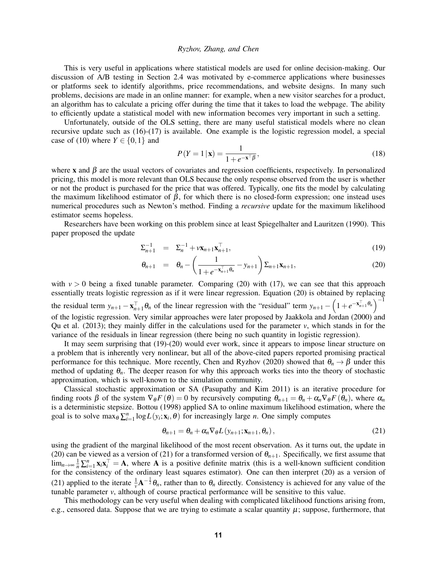This is very useful in applications where statistical models are used for online decision-making. Our discussion of A/B testing in Section [2.4](#page-4-3) was motivated by e-commerce applications where businesses or platforms seek to identify algorithms, price recommendations, and website designs. In many such problems, decisions are made in an online manner: for example, when a new visitor searches for a product, an algorithm has to calculate a pricing offer during the time that it takes to load the webpage. The ability to efficiently update a statistical model with new information becomes very important in such a setting.

Unfortunately, outside of the OLS setting, there are many useful statistical models where no clean recursive update such as [\(16\)](#page-9-0)-[\(17\)](#page-9-0) is available. One example is the logistic regression model, a special case of [\(10\)](#page-7-1) where  $Y \in \{0, 1\}$  and

<span id="page-10-2"></span>
$$
P(Y=1|\mathbf{x}) = \frac{1}{1 + e^{-\mathbf{x}^\top \beta}},\tag{18}
$$

where x and  $\beta$  are the usual vectors of covariates and regression coefficients, respectively. In personalized pricing, this model is more relevant than OLS because the only response observed from the user is whether or not the product is purchased for the price that was offered. Typically, one fits the model by calculating the maximum likelihood estimator of  $\beta$ , for which there is no closed-form expression; one instead uses numerical procedures such as Newton's method. Finding a *recursive* update for the maximum likelihood estimator seems hopeless.

Researchers have been working on this problem since at least [Spiegelhalter and Lauritzen \(1990\).](#page-14-20) This paper proposed the update

<span id="page-10-0"></span>
$$
\Sigma_{n+1}^{-1} = \Sigma_n^{-1} + \nu \mathbf{x}_{n+1} \mathbf{x}_{n+1}^{\top}, \tag{19}
$$

$$
\theta_{n+1} = \theta_n - \left(\frac{1}{1 + e^{-\mathbf{x}_{n+1}^{\top}\theta_n}} - y_{n+1}\right) \Sigma_{n+1} \mathbf{x}_{n+1},
$$
\n(20)

with  $v > 0$  being a fixed tunable parameter. Comparing [\(20\)](#page-10-0) with [\(17\)](#page-9-0), we can see that this approach essentially treats logistic regression as if it were linear regression. Equation [\(20\)](#page-10-0) is obtained by replacing the residual term  $y_{n+1} - x_{n+1}^{\top} \theta_n$  of the linear regression with the "residual" term  $y_{n+1} - \left(1 + e^{-x_{n+1}^{\top} \theta_n}\right)^{-1}$ of the logistic regression. Very similar approaches were later proposed by [Jaakkola and Jordan \(2000\)](#page-12-22) and [Qu et al. \(2013\);](#page-13-23) they mainly differ in the calculations used for the parameter  $v$ , which stands in for the variance of the residuals in linear regression (there being no such quantity in logistic regression).

It may seem surprising that [\(19\)](#page-10-0)-[\(20\)](#page-10-0) would ever work, since it appears to impose linear structure on a problem that is inherently very nonlinear, but all of the above-cited papers reported promising practical performance for this technique. More recently, [Chen and Ryzhov \(2020\)](#page-12-23) showed that  $\theta_n \to \beta$  under this method of updating θ*n*. The deeper reason for why this approach works ties into the theory of stochastic approximation, which is well-known to the simulation community.

Classical stochastic approximation or SA [\(Pasupathy and Kim 2011\)](#page-13-24) is an iterative procedure for finding roots  $\beta$  of the system  $\nabla_{\theta} F(\theta) = 0$  by recursively computing  $\theta_{n+1} = \theta_n + \alpha_n \nabla_{\theta} F(\theta_n)$ , where  $\alpha_n$ is a deterministic stepsize. [Bottou \(1998\)](#page-11-5) applied SA to online maximum likelihood estimation, where the goal is to solve  $\max_{\theta} \sum_{i=1}^{n} \log L(y_i; \mathbf{x}_i, \theta)$  for increasingly large *n*. One simply computes

<span id="page-10-1"></span>
$$
\theta_{n+1} = \theta_n + \alpha_n \nabla_{\theta} L(y_{n+1}; \mathbf{x}_{n+1}, \theta_n), \qquad (21)
$$

using the gradient of the marginal likelihood of the most recent observation. As it turns out, the update in [\(20\)](#page-10-0) can be viewed as a version of [\(21\)](#page-10-1) for a transformed version of  $\theta_{n+1}$ . Specifically, we first assume that lim<sub>*n*→∞</sub>  $\frac{1}{n}$   $\sum_{i=1}^{n}$  **x**<sub>i</sub>x<sub>i</sub><sup>T</sup> = **A**, where **A** is a positive definite matrix (this is a well-known sufficient condition for the consistency of the ordinary least squares estimator). One can then interpret [\(20\)](#page-10-0) as a version of [\(21\)](#page-10-1) applied to the iterate  $\frac{1}{\nu}A^{-\frac{1}{2}}\theta_n$ , rather than to  $\theta_n$  directly. Consistency is achieved for any value of the tunable parameter *v*, although of course practical performance will be sensitive to this value.

This methodology can be very useful when dealing with complicated likelihood functions arising from, e.g., censored data. Suppose that we are trying to estimate a scalar quantity  $\mu$ ; suppose, furthermore, that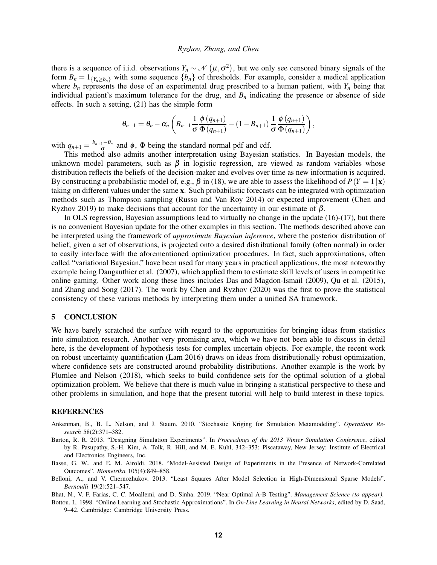there is a sequence of i.i.d. observations  $Y_n \sim \mathcal{N}(\mu, \sigma^2)$ , but we only see censored binary signals of the form  $B_n = 1_{\{Y_n > b_n\}}$  with some sequence  $\{b_n\}$  of thresholds. For example, consider a medical application where  $b_n$  represents the dose of an experimental drug prescribed to a human patient, with  $Y_n$  being that individual patient's maximum tolerance for the drug, and  $B<sub>n</sub>$  indicating the presence or absence of side effects. In such a setting, [\(21\)](#page-10-1) has the simple form

$$
\theta_{n+1} = \theta_n - \alpha_n \left( B_{n+1} \frac{1}{\sigma} \frac{\phi(q_{n+1})}{\Phi(q_{n+1})} - (1 - B_{n+1}) \frac{1}{\sigma} \frac{\phi(q_{n+1})}{\Phi(q_{n+1})} \right),
$$

with  $q_{n+1} = \frac{b_{n+1} - \theta_n}{\sigma}$  $\frac{1-\theta_n}{\sigma}$  and  $\phi$ ,  $\Phi$  being the standard normal pdf and cdf.

This method also admits another interpretation using Bayesian statistics. In Bayesian models, the unknown model parameters, such as  $\beta$  in logistic regression, are viewed as random variables whose distribution reflects the beliefs of the decision-maker and evolves over time as new information is acquired. By constructing a probabilistic model of, e.g.,  $\beta$  in [\(18\)](#page-10-2), we are able to assess the likelihood of  $P(Y = 1 | \mathbf{x})$ taking on different values under the same x. Such probabilistic forecasts can be integrated with optimization methods such as Thompson sampling [\(Russo and Van Roy 2014\)](#page-13-25) or expected improvement [\(Chen and](#page-12-24) [Ryzhov 2019\)](#page-12-24) to make decisions that account for the uncertainty in our estimate of  $\beta$ .

In OLS regression, Bayesian assumptions lead to virtually no change in the update [\(16\)](#page-9-0)-[\(17\)](#page-9-0), but there is no convenient Bayesian update for the other examples in this section. The methods described above can be interpreted using the framework of *approximate Bayesian inference*, where the posterior distribution of belief, given a set of observations, is projected onto a desired distributional family (often normal) in order to easily interface with the aforementioned optimization procedures. In fact, such approximations, often called "variational Bayesian," have been used for many years in practical applications, the most noteworthy example being [Dangauthier et al. \(2007\),](#page-12-25) which applied them to estimate skill levels of users in competitive online gaming. Other work along these lines includes [Das and Magdon-Ismail \(2009\),](#page-12-26) [Qu et al. \(2015\),](#page-13-26) and [Zhang and Song \(2017\).](#page-14-21) The work by [Chen and Ryzhov \(2020\)](#page-12-23) was the first to prove the statistical consistency of these various methods by interpreting them under a unified SA framework.

# 5 CONCLUSION

We have barely scratched the surface with regard to the opportunities for bringing ideas from statistics into simulation research. Another very promising area, which we have not been able to discuss in detail here, is the development of hypothesis tests for complex uncertain objects. For example, the recent work on robust uncertainty quantification [\(Lam 2016\)](#page-13-27) draws on ideas from distributionally robust optimization, where confidence sets are constructed around probability distributions. Another example is the work by [Plumlee and Nelson \(2018\),](#page-13-28) which seeks to build confidence sets for the optimal solution of a global optimization problem. We believe that there is much value in bringing a statistical perspective to these and other problems in simulation, and hope that the present tutorial will help to build interest in these topics.

# REFERENCES

- <span id="page-11-1"></span>Ankenman, B., B. L. Nelson, and J. Staum. 2010. "Stochastic Kriging for Simulation Metamodeling". *Operations Research* 58(2):371–382.
- <span id="page-11-0"></span>Barton, R. R. 2013. "Designing Simulation Experiments". In *Proceedings of the 2013 Winter Simulation Conference*, edited by R. Pasupathy, S.-H. Kim, A. Tolk, R. Hill, and M. E. Kuhl, 342–353: Piscataway, New Jersey: Institute of Electrical and Electronics Engineers, Inc.
- <span id="page-11-3"></span>Basse, G. W., and E. M. Airoldi. 2018. "Model-Assisted Design of Experiments in the Presence of Network-Correlated Outcomes". *Biometrika* 105(4):849–858.
- <span id="page-11-4"></span>Belloni, A., and V. Chernozhukov. 2013. "Least Squares After Model Selection in High-Dimensional Sparse Models". *Bernoulli* 19(2):521–547.

<span id="page-11-2"></span>Bhat, N., V. F. Farias, C. C. Moallemi, and D. Sinha. 2019. "Near Optimal A-B Testing". *Management Science (to appear)*.

<span id="page-11-5"></span>Bottou, L. 1998. "Online Learning and Stochastic Approximations". In *On-Line Learning in Neural Networks*, edited by D. Saad, 9–42. Cambridge: Cambridge University Press.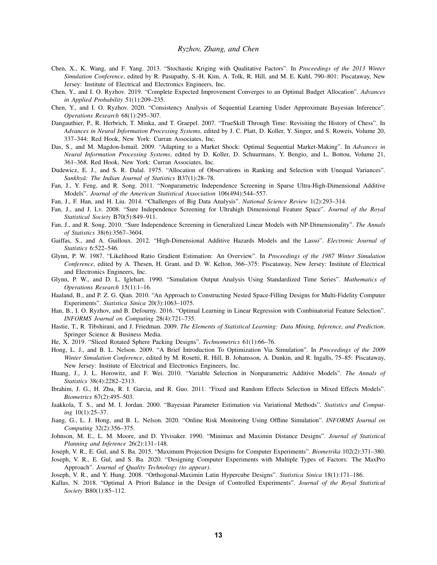- <span id="page-12-5"></span>Chen, X., K. Wang, and F. Yang. 2013. "Stochastic Kriging with Qualitative Factors". In *Proceedings of the 2013 Winter Simulation Conference*, edited by R. Pasupathy, S.-H. Kim, A. Tolk, R. Hill, and M. E. Kuhl, 790–801: Piscataway, New Jersey: Institute of Electrical and Electronics Engineers, Inc.
- <span id="page-12-24"></span>Chen, Y., and I. O. Ryzhov. 2019. "Complete Expected Improvement Converges to an Optimal Budget Allocation". *Advances in Applied Probability* 51(1):209–235.
- <span id="page-12-23"></span>Chen, Y., and I. O. Ryzhov. 2020. "Consistency Analysis of Sequential Learning Under Approximate Bayesian Inference". *Operations Research* 68(1):295–307.
- <span id="page-12-25"></span>Dangauthier, P., R. Herbrich, T. Minka, and T. Graepel. 2007. "TrueSkill Through Time: Revisiting the History of Chess". In *Advances in Neural Information Processing Systems*, edited by J. C. Platt, D. Koller, Y. Singer, and S. Roweis, Volume 20, 337–344: Red Hook, New York: Curran Associates, Inc.
- <span id="page-12-26"></span>Das, S., and M. Magdon-Ismail. 2009. "Adapting to a Market Shock: Optimal Sequential Market-Making". In *Advances in Neural Information Processing Systems*, edited by D. Koller, D. Schuurmans, Y. Bengio, and L. Bottou, Volume 21, 361–368. Red Hook, New York: Curran Associates, Inc.
- <span id="page-12-0"></span>Dudewicz, E. J., and S. R. Dalal. 1975. "Allocation of Observations in Ranking and Selection with Unequal Variances". *Sankhyā: The Indian Journal of Statistics B37(1):28-78.*
- <span id="page-12-21"></span>Fan, J., Y. Feng, and R. Song. 2011. "Nonparametric Independence Screening in Sparse Ultra-High-Dimensional Additive Models". *Journal of the American Statistical Association* 106(494):544–557.
- <span id="page-12-14"></span>Fan, J., F. Han, and H. Liu. 2014. "Challenges of Big Data Analysis". *National Science Review* 1(2):293–314.
- <span id="page-12-19"></span>Fan, J., and J. Lv. 2008. "Sure Independence Screening for Ultrahigh Dimensional Feature Space". *Journal of the Royal Statistical Society* B70(5):849–911.
- <span id="page-12-20"></span>Fan, J., and R. Song. 2010. "Sure Independence Screening in Generalized Linear Models with NP-Dimensionality". *The Annals of Statistics* 38(6):3567–3604.
- <span id="page-12-16"></span>Gaiffas, S., and A. Guilloux. 2012. "High-Dimensional Additive Hazards Models and the Lasso". *Electronic Journal of Statistics* 6:522–546.
- <span id="page-12-2"></span>Glynn, P. W. 1987. "Likelihood Ratio Gradient Estimation: An Overview". In *Proceedings of the 1987 Winter Simulation Conference*, edited by A. Thesen, H. Grant, and D. W. Kelton, 366–375: Piscataway, New Jersey: Institute of Electrical and Electronics Engineers, Inc.
- <span id="page-12-1"></span>Glynn, P. W., and D. L. Iglehart. 1990. "Simulation Output Analysis Using Standardized Time Series". *Mathematics of Operations Research* 15(1):1–16.
- <span id="page-12-9"></span>Haaland, B., and P. Z. G. Qian. 2010. "An Approach to Constructing Nested Space-Filling Designs for Multi-Fidelity Computer Experiments". *Statistica Sinica* 20(3):1063–1075.
- <span id="page-12-13"></span>Han, B., I. O. Ryzhov, and B. Defourny. 2016. "Optimal Learning in Linear Regression with Combinatorial Feature Selection". *INFORMS Journal on Computing* 28(4):721–735.
- <span id="page-12-15"></span>Hastie, T., R. Tibshirani, and J. Friedman. 2009. *The Elements of Statistical Learning: Data Mining, Inference, and Prediction*. Springer Science & Business Media.
- <span id="page-12-10"></span>He, X. 2019. "Sliced Rotated Sphere Packing Designs". *Technometrics* 61(1):66–76.
- <span id="page-12-3"></span>Hong, L. J., and B. L. Nelson. 2009. "A Brief Introduction To Optimization Via Simulation". In *Proceedings of the 2009 Winter Simulation Conference*, edited by M. Rosetti, R. Hill, B. Johansson, A. Dunkin, and R. Ingalls, 75–85: Piscataway, New Jersey: Institute of Electrical and Electronics Engineers, Inc.
- <span id="page-12-18"></span>Huang, J., J. L. Horowitz, and F. Wei. 2010. "Variable Selection in Nonparametric Additive Models". *The Annals of Statistics* 38(4):2282–2313.
- <span id="page-12-17"></span>Ibrahim, J. G., H. Zhu, R. I. Garcia, and R. Guo. 2011. "Fixed and Random Effects Selection in Mixed Effects Models". *Biometrics* 67(2):495–503.
- <span id="page-12-22"></span>Jaakkola, T. S., and M. I. Jordan. 2000. "Bayesian Parameter Estimation via Variational Methods". *Statistics and Computing* 10(1):25–37.
- <span id="page-12-4"></span>Jiang, G., L. J. Hong, and B. L. Nelson. 2020. "Online Risk Monitoring Using Offline Simulation". *INFORMS Journal on Computing* 32(2):356–375.
- <span id="page-12-6"></span>Johnson, M. E., L. M. Moore, and D. Ylvisaker. 1990. "Minimax and Maximin Distance Designs". *Journal of Statistical Planning and Inference* 26(2):131–148.
- <span id="page-12-7"></span>Joseph, V. R., E. Gul, and S. Ba. 2015. "Maximum Projection Designs for Computer Experiments". *Biometrika* 102(2):371–380.
- <span id="page-12-11"></span>Joseph, V. R., E. Gul, and S. Ba. 2020. "Designing Computer Experiments with Multiple Types of Factors: The MaxPro Approach". *Journal of Quality Technology (to appear)*.
- <span id="page-12-8"></span>Joseph, V. R., and Y. Hung. 2008. "Orthogonal-Maximin Latin Hypercube Designs". *Statistica Sinica* 18(1):171–186.
- <span id="page-12-12"></span>Kallus, N. 2018. "Optimal A Priori Balance in the Design of Controlled Experiments". *Journal of the Royal Statistical Society* B80(1):85–112.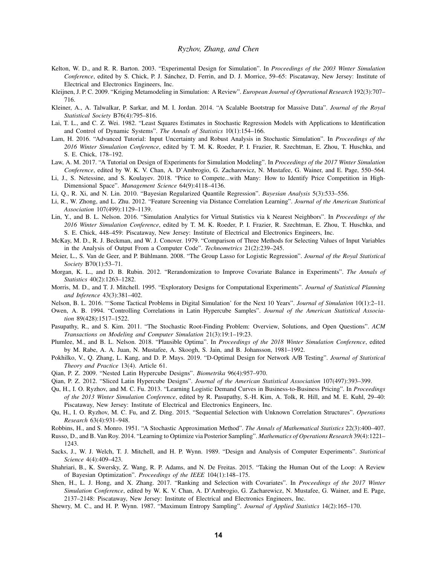- <span id="page-13-2"></span>Kelton, W. D., and R. R. Barton. 2003. "Experimental Design for Simulation". In *Proceedings of the 2003 Winter Simulation Conference*, edited by S. Chick, P. J. Sanchez, D. Ferrin, and D. J. Morrice, 59–65: Piscataway, New Jersey: Institute of ´ Electrical and Electronics Engineers, Inc.
- <span id="page-13-1"></span>Kleijnen, J. P. C. 2009. "Kriging Metamodeling in Simulation: A Review". *European Journal of Operational Research* 192(3):707– 716.
- <span id="page-13-21"></span>Kleiner, A., A. Talwalkar, P. Sarkar, and M. I. Jordan. 2014. "A Scalable Bootstrap for Massive Data". *Journal of the Royal Statistical Society* B76(4):795–816.
- <span id="page-13-16"></span>Lai, T. L., and C. Z. Wei. 1982. "Least Squares Estimates in Stochastic Regression Models with Applications to Identification and Control of Dynamic Systems". *The Annals of Statistics* 10(1):154–166.
- <span id="page-13-27"></span>Lam, H. 2016. "Advanced Tutorial: Input Uncertainty and Robust Analysis in Stochastic Simulation". In *Proceedings of the 2016 Winter Simulation Conference*, edited by T. M. K. Roeder, P. I. Frazier, R. Szechtman, E. Zhou, T. Huschka, and S. E. Chick, 178–192.
- <span id="page-13-4"></span>Law, A. M. 2017. "A Tutorial on Design of Experiments for Simulation Modeling". In *Proceedings of the 2017 Winter Simulation Conference*, edited by W. K. V. Chan, A. D'Ambrogio, G. Zacharewicz, N. Mustafee, G. Wainer, and E. Page, 550–564.
- <span id="page-13-17"></span>Li, J., S. Netessine, and S. Koulayev. 2018. "Price to Compete...with Many: How to Identify Price Competition in High-Dimensional Space". *Management Science* 64(9):4118–4136.
- <span id="page-13-19"></span>Li, Q., R. Xi, and N. Lin. 2010. "Bayesian Regularized Quantile Regression". *Bayesian Analysis* 5(3):533–556.
- <span id="page-13-22"></span>Li, R., W. Zhong, and L. Zhu. 2012. "Feature Screening via Distance Correlation Learning". *Journal of the American Statistical Association* 107(499):1129–1139.
- <span id="page-13-18"></span>Lin, Y., and B. L. Nelson. 2016. "Simulation Analytics for Virtual Statistics via k Nearest Neighbors". In *Proceedings of the 2016 Winter Simulation Conference*, edited by T. M. K. Roeder, P. I. Frazier, R. Szechtman, E. Zhou, T. Huschka, and S. E. Chick, 448–459: Piscataway, New Jersey: Institute of Electrical and Electronics Engineers, Inc.
- <span id="page-13-8"></span>McKay, M. D., R. J. Beckman, and W. J. Conover. 1979. "Comparison of Three Methods for Selecting Values of Input Variables in the Analysis of Output From a Computer Code". *Technometrics* 21(2):239–245.
- <span id="page-13-20"></span>Meier, L., S. Van de Geer, and P. Bühlmann. 2008. "The Group Lasso for Logistic Regression". *Journal of the Royal Statistical Society* B70(1):53–71.
- <span id="page-13-13"></span>Morgan, K. L., and D. B. Rubin. 2012. "Rerandomization to Improve Covariate Balance in Experiments". *The Annals of Statistics* 40(2):1263–1282.
- <span id="page-13-5"></span>Morris, M. D., and T. J. Mitchell. 1995. "Exploratory Designs for Computational Experiments". *Journal of Statistical Planning and Inference* 43(3):381–402.
- <span id="page-13-3"></span>Nelson, B. L. 2016. "'Some Tactical Problems in Digital Simulation' for the Next 10 Years". *Journal of Simulation* 10(1):2–11.
- <span id="page-13-9"></span>Owen, A. B. 1994. "Controlling Correlations in Latin Hypercube Samples". *Journal of the American Statistical Association* 89(428):1517–1522.
- <span id="page-13-24"></span>Pasupathy, R., and S. Kim. 2011. "The Stochastic Root-Finding Problem: Overview, Solutions, and Open Questions". *ACM Transactions on Modeling and Computer Simulation* 21(3):19:1–19:23.
- <span id="page-13-28"></span>Plumlee, M., and B. L. Nelson. 2018. "Plausible Optima". In *Proceedings of the 2018 Winter Simulation Conference*, edited by M. Rabe, A. A. Juan, N. Mustafee, A. Skoogh, S. Jain, and B. Johansson, 1981–1992.
- <span id="page-13-15"></span>Pokhilko, V., Q. Zhang, L. Kang, and D. P. Mays. 2019. "D-Optimal Design for Network A/B Testing". *Journal of Statistical Theory and Practice* 13(4). Article 61.
- <span id="page-13-10"></span>Qian, P. Z. 2009. "Nested Latin Hypercube Designs". *Biometrika* 96(4):957–970.
- <span id="page-13-11"></span>Qian, P. Z. 2012. "Sliced Latin Hypercube Designs". *Journal of the American Statistical Association* 107(497):393–399.
- <span id="page-13-23"></span>Qu, H., I. O. Ryzhov, and M. C. Fu. 2013. "Learning Logistic Demand Curves in Business-to-Business Pricing". In *Proceedings of the 2013 Winter Simulation Conference*, edited by R. Pasupathy, S.-H. Kim, A. Tolk, R. Hill, and M. E. Kuhl, 29–40: Piscataway, New Jersey: Institute of Electrical and Electronics Engineers, Inc.
- <span id="page-13-26"></span>Qu, H., I. O. Ryzhov, M. C. Fu, and Z. Ding. 2015. "Sequential Selection with Unknown Correlation Structures". *Operations Research* 63(4):931–948.

<span id="page-13-0"></span>Robbins, H., and S. Monro. 1951. "A Stochastic Approximation Method". *The Annals of Mathematical Statistics* 22(3):400–407.

- <span id="page-13-25"></span>Russo, D., and B. Van Roy. 2014. "Learning to Optimize via Posterior Sampling". *Mathematics of Operations Research* 39(4):1221– 1243.
- <span id="page-13-6"></span>Sacks, J., W. J. Welch, T. J. Mitchell, and H. P. Wynn. 1989. "Design and Analysis of Computer Experiments". *Statistical Science* 4(4):409–423.
- <span id="page-13-12"></span>Shahriari, B., K. Swersky, Z. Wang, R. P. Adams, and N. De Freitas. 2015. "Taking the Human Out of the Loop: A Review of Bayesian Optimization". *Proceedings of the IEEE* 104(1):148–175.
- <span id="page-13-14"></span>Shen, H., L. J. Hong, and X. Zhang. 2017. "Ranking and Selection with Covariates". In *Proceedings of the 2017 Winter Simulation Conference*, edited by W. K. V. Chan, A. D'Ambrogio, G. Zacharewicz, N. Mustafee, G. Wainer, and E. Page, 2137–2148: Piscataway, New Jersey: Institute of Electrical and Electronics Engineers, Inc.
- <span id="page-13-7"></span>Shewry, M. C., and H. P. Wynn. 1987. "Maximum Entropy Sampling". *Journal of Applied Statistics* 14(2):165–170.